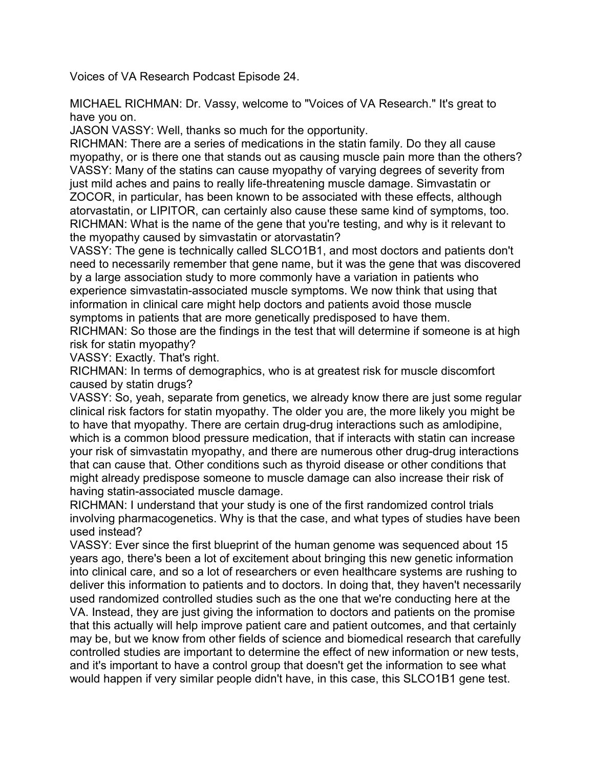Voices of VA Research Podcast Episode 24.

MICHAEL RICHMAN: Dr. Vassy, welcome to "Voices of VA Research." It's great to have you on.

JASON VASSY: Well, thanks so much for the opportunity.

RICHMAN: There are a series of medications in the statin family. Do they all cause myopathy, or is there one that stands out as causing muscle pain more than the others? VASSY: Many of the statins can cause myopathy of varying degrees of severity from just mild aches and pains to really life-threatening muscle damage. Simvastatin or ZOCOR, in particular, has been known to be associated with these effects, although atorvastatin, or LIPITOR, can certainly also cause these same kind of symptoms, too. RICHMAN: What is the name of the gene that you're testing, and why is it relevant to the myopathy caused by simvastatin or atorvastatin?

VASSY: The gene is technically called SLCO1B1, and most doctors and patients don't need to necessarily remember that gene name, but it was the gene that was discovered by a large association study to more commonly have a variation in patients who experience simvastatin-associated muscle symptoms. We now think that using that information in clinical care might help doctors and patients avoid those muscle symptoms in patients that are more genetically predisposed to have them.

RICHMAN: So those are the findings in the test that will determine if someone is at high risk for statin myopathy?

VASSY: Exactly. That's right.

RICHMAN: In terms of demographics, who is at greatest risk for muscle discomfort caused by statin drugs?

VASSY: So, yeah, separate from genetics, we already know there are just some regular clinical risk factors for statin myopathy. The older you are, the more likely you might be to have that myopathy. There are certain drug-drug interactions such as amlodipine, which is a common blood pressure medication, that if interacts with statin can increase your risk of simvastatin myopathy, and there are numerous other drug-drug interactions that can cause that. Other conditions such as thyroid disease or other conditions that might already predispose someone to muscle damage can also increase their risk of having statin-associated muscle damage.

RICHMAN: I understand that your study is one of the first randomized control trials involving pharmacogenetics. Why is that the case, and what types of studies have been used instead?

VASSY: Ever since the first blueprint of the human genome was sequenced about 15 years ago, there's been a lot of excitement about bringing this new genetic information into clinical care, and so a lot of researchers or even healthcare systems are rushing to deliver this information to patients and to doctors. In doing that, they haven't necessarily used randomized controlled studies such as the one that we're conducting here at the VA. Instead, they are just giving the information to doctors and patients on the promise that this actually will help improve patient care and patient outcomes, and that certainly may be, but we know from other fields of science and biomedical research that carefully controlled studies are important to determine the effect of new information or new tests, and it's important to have a control group that doesn't get the information to see what would happen if very similar people didn't have, in this case, this SLCO1B1 gene test.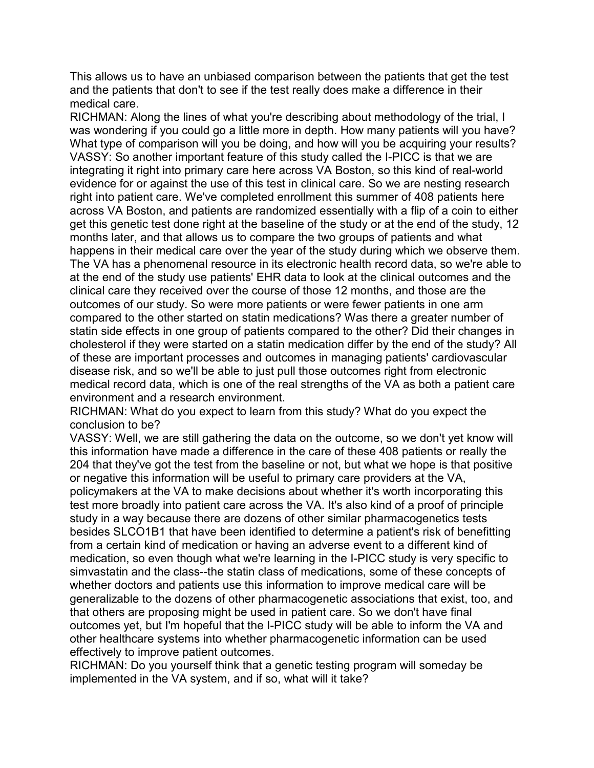This allows us to have an unbiased comparison between the patients that get the test and the patients that don't to see if the test really does make a difference in their medical care.

RICHMAN: Along the lines of what you're describing about methodology of the trial, I was wondering if you could go a little more in depth. How many patients will you have? What type of comparison will you be doing, and how will you be acquiring your results? VASSY: So another important feature of this study called the I-PICC is that we are integrating it right into primary care here across VA Boston, so this kind of real-world evidence for or against the use of this test in clinical care. So we are nesting research right into patient care. We've completed enrollment this summer of 408 patients here across VA Boston, and patients are randomized essentially with a flip of a coin to either get this genetic test done right at the baseline of the study or at the end of the study, 12 months later, and that allows us to compare the two groups of patients and what happens in their medical care over the year of the study during which we observe them. The VA has a phenomenal resource in its electronic health record data, so we're able to at the end of the study use patients' EHR data to look at the clinical outcomes and the clinical care they received over the course of those 12 months, and those are the outcomes of our study. So were more patients or were fewer patients in one arm compared to the other started on statin medications? Was there a greater number of statin side effects in one group of patients compared to the other? Did their changes in cholesterol if they were started on a statin medication differ by the end of the study? All of these are important processes and outcomes in managing patients' cardiovascular disease risk, and so we'll be able to just pull those outcomes right from electronic medical record data, which is one of the real strengths of the VA as both a patient care environment and a research environment.

RICHMAN: What do you expect to learn from this study? What do you expect the conclusion to be?

VASSY: Well, we are still gathering the data on the outcome, so we don't yet know will this information have made a difference in the care of these 408 patients or really the 204 that they've got the test from the baseline or not, but what we hope is that positive or negative this information will be useful to primary care providers at the VA, policymakers at the VA to make decisions about whether it's worth incorporating this test more broadly into patient care across the VA. It's also kind of a proof of principle study in a way because there are dozens of other similar pharmacogenetics tests besides SLCO1B1 that have been identified to determine a patient's risk of benefitting from a certain kind of medication or having an adverse event to a different kind of medication, so even though what we're learning in the I-PICC study is very specific to simvastatin and the class--the statin class of medications, some of these concepts of whether doctors and patients use this information to improve medical care will be generalizable to the dozens of other pharmacogenetic associations that exist, too, and that others are proposing might be used in patient care. So we don't have final outcomes yet, but I'm hopeful that the I-PICC study will be able to inform the VA and other healthcare systems into whether pharmacogenetic information can be used effectively to improve patient outcomes.

RICHMAN: Do you yourself think that a genetic testing program will someday be implemented in the VA system, and if so, what will it take?